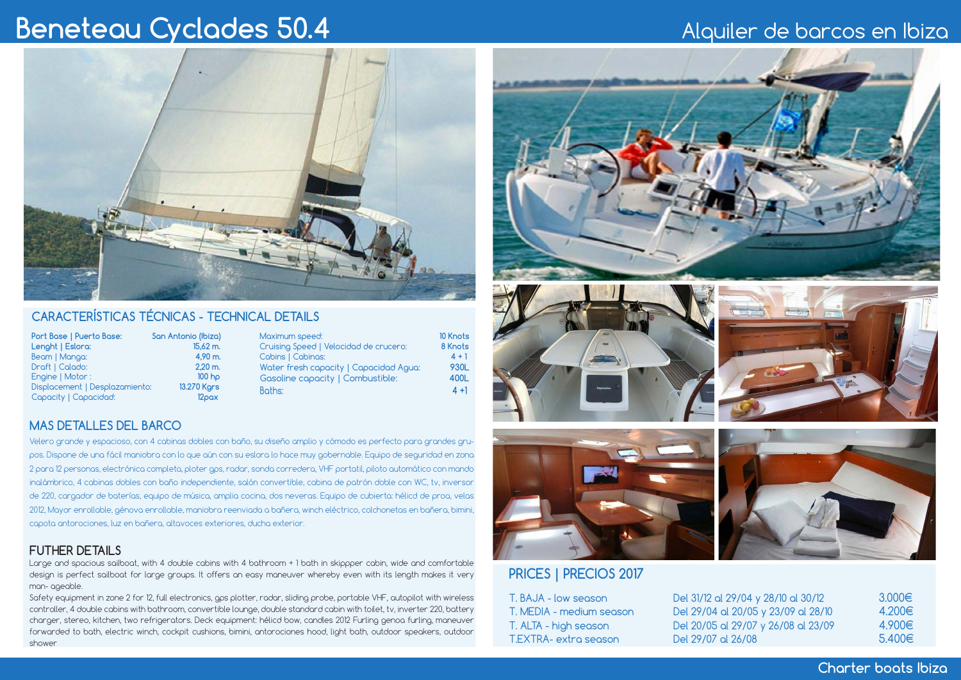# **Beneteau Cyclades 50.4** Alquiler de barcos en Ibiza



# **CARACTERÍSTICAS TÉCNICAS - TECHNICAL DETAILS**

| Port Base   Puerto Base:       | San Antonio (Ibiza)   | Maximum speed:                         | <b>10 Knots</b> |
|--------------------------------|-----------------------|----------------------------------------|-----------------|
| Lenght   Eslora:               | $15.62 \, \text{m}$ . | Cruising Speed   Velocidad de crucero: | 8 Knots         |
| Beam   Manga:                  | 4.90 m.               | Cabins   Cabinas:                      | $4 + 1$         |
| Draft   Calado:                | $2.20$ m.             | Water fresh capacity   Capacidad Agua: | 930L            |
| Engine   Motor :               | 100 <sub>ho</sub>     | Gasoline capacity   Combustible:       | 400L            |
| Displacement   Desplazamiento: | 13.270 Kgrs           | Boths:                                 | $4 + 1$         |
| Capacity   Capacidad:          | 12 <sub>max</sub>     |                                        |                 |

### **MAS DETALLES DEL BARCO**

 Velero grande y espacioso, con 4 cabinas dobles con baño, su diseño amplio y cómodo es perfecto para grandes grupos. Dispone de una fácil maniobra con lo que aún con su eslora lo hace muy gobernable. Equipo de seguridad en zona 2 para 12 personas, electrónica completa, ploter gps, radar, sonda corredera, VHF portatil, piloto automático con mando inalámbrico, 4 cabinas dobles con baño independiente, salón convertible, cabina de patrón doble con WC, tv, inversor de 220, cargador de baterías, equipo de música, amplia cocina, dos neveras. Equipo de cubierta: hélicd de proa, velas 2012, Mayor enrollable, génova enrollable, maniobra reenviada a bañera, winch eléctrico, colchonetas en bañera, bimini, capota antorociones, luz en bañera, altavoces exteriores, ducha exterior.

## **FUTHER DETAILS**

Large and spacious sailboat, with 4 double cabins with 4 bathroom + 1 bath in skippper cabin, wide and comfortable design is perfect sailboat for large groups. It offers an easy maneuver whereby even with its length makes it very man- ageable.

Safety equipment in zone 2 for 12, full electronics, gps plotter, radar, sliding probe, portable VHF, autopilot with wireless controller, 4 double cabins with bathroom, convertible lounge, double standard cabin with toilet, tv, inverter 220, battery charger, stereo, kitchen, two refrigerators. Deck equipment: hélicd bow, candles 2012 Furling genoa furling, maneuver forwarded to bath, electric winch, cockpit cushions, bimini, antorociones hood, light bath, outdoor speakers, outdoor shower









# **PRICES | PRECIOS 2017**

T. BAJA - low season T. MEDIA - medium season T. ALTA - high season T.EXTRA- extra season

| Del 31/12 al 29/04 y 28/10 al 30/12 | 3.000€ |
|-------------------------------------|--------|
| Del 29/04 al 20/05 y 23/09 al 28/10 | 4.2006 |
| Del 20/05 al 29/07 y 26/08 al 23/09 | 4.9006 |
| Del 29/07 al 26/08                  | 5.400  |

**Charter boats Ibiza**